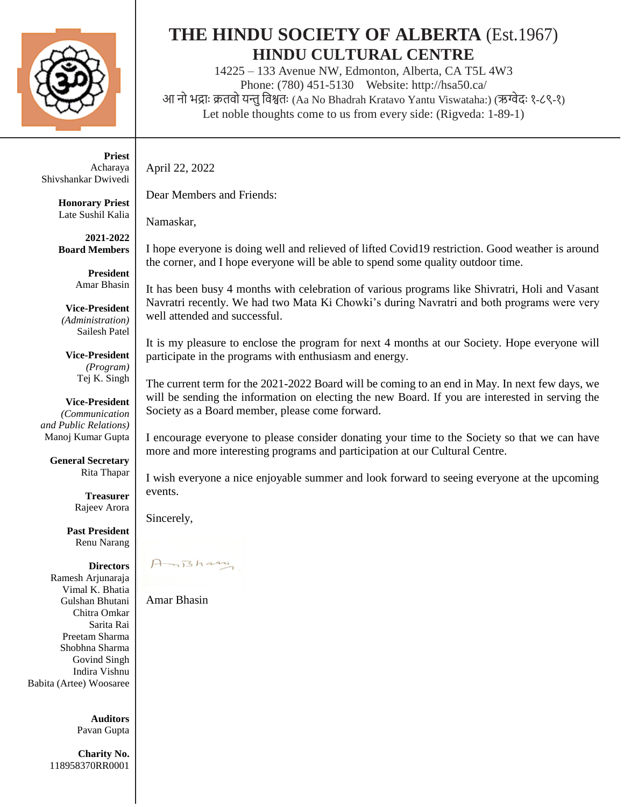

**Priest** Acharaya Shivshankar Dwivedi

> **Honorary Priest** Late Sushil Kalia

> **2021-2022 Board Members**

> > **President** Amar Bhasin

**Vice-President** *(Administration)* Sailesh Patel

**Vice-President** *(Program)* Tej K. Singh

**Vice-President** *(Communication and Public Relations)* Manoj Kumar Gupta

> **General Secretary** Rita Thapar

> > **Treasurer** Rajeev Arora

**Past President** Renu Narang

**Directors** Ramesh Arjunaraja Vimal K. Bhatia Gulshan Bhutani Chitra Omkar Sarita Rai Preetam Sharma Shobhna Sharma Govind Singh Indira Vishnu Babita (Artee) Woosaree

> **Auditors** Pavan Gupta

**Charity No.** 118958370RR0001

# **THE HINDU SOCIETY OF ALBERTA** (Est.1967) **HINDU CULTURAL CENTRE**

14225 – 133 Avenue NW, Edmonton, Alberta, CA T5L 4W3 Phone: (780) 451-5130 [Website: http://hsa50.ca/](http://www.hindusociety.ab.ca/) आ नो भद्राः क्रतवो यन्तु विश्वतः (Aa No Bhadrah Kratavo Yantu Viswataha:) (ऋग्वेदः १-८९-१) Let noble thoughts come to us from every side: (Rigveda: 1-89-1)

April 22, 2022

Dear Members and Friends:

Namaskar,

I hope everyone is doing well and relieved of lifted Covid19 restriction. Good weather is around the corner, and I hope everyone will be able to spend some quality outdoor time.

It has been busy 4 months with celebration of various programs like Shivratri, Holi and Vasant Navratri recently. We had two Mata Ki Chowki's during Navratri and both programs were very well attended and successful.

It is my pleasure to enclose the program for next 4 months at our Society. Hope everyone will participate in the programs with enthusiasm and energy.

The current term for the 2021-2022 Board will be coming to an end in May. In next few days, we will be sending the information on electing the new Board. If you are interested in serving the Society as a Board member, please come forward.

I encourage everyone to please consider donating your time to the Society so that we can have more and more interesting programs and participation at our Cultural Centre.

I wish everyone a nice enjoyable summer and look forward to seeing everyone at the upcoming events.

Sincerely,

Ani3hasin

Amar Bhasin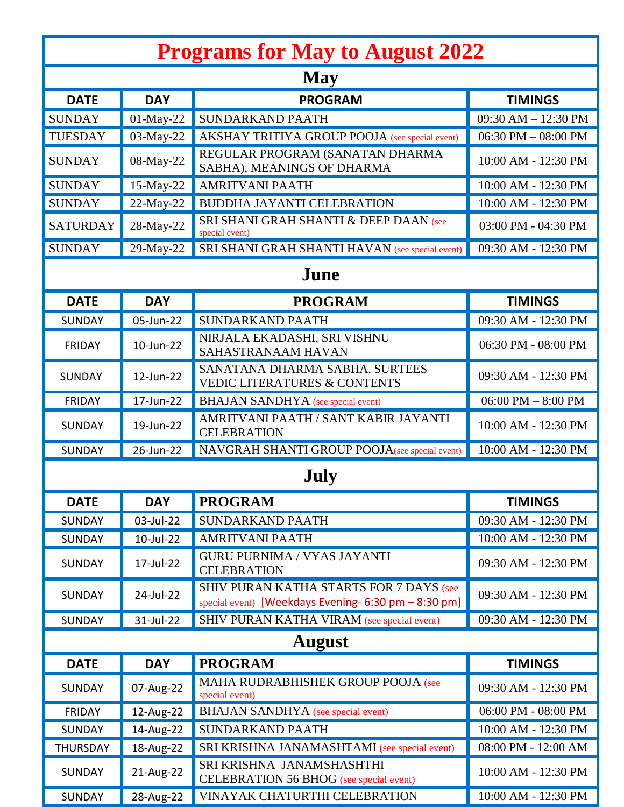| <b>Programs for May to August 2022</b> |              |                                                                                                 |                       |
|----------------------------------------|--------------|-------------------------------------------------------------------------------------------------|-----------------------|
| <b>May</b>                             |              |                                                                                                 |                       |
| <b>DATE</b>                            | <b>DAY</b>   | <b>PROGRAM</b>                                                                                  | <b>TIMINGS</b>        |
| <b>SUNDAY</b>                          | $01$ -May-22 | <b>SUNDARKAND PAATH</b>                                                                         | 09:30 AM - 12:30 PM   |
| <b>TUESDAY</b>                         | 03-May-22    | AKSHAY TRITIYA GROUP POOJA (see special event)                                                  | 06:30 PM $-$ 08:00 PM |
| <b>SUNDAY</b>                          | 08-May-22    | REGULAR PROGRAM (SANATAN DHARMA<br>SABHA), MEANINGS OF DHARMA                                   | 10:00 AM - 12:30 PM   |
| <b>SUNDAY</b>                          | 15-May-22    | <b>AMRITVANI PAATH</b>                                                                          | 10:00 AM - 12:30 PM   |
| <b>SUNDAY</b>                          | 22-May-22    | <b>BUDDHA JAYANTI CELEBRATION</b>                                                               | 10:00 AM - 12:30 PM   |
| <b>SATURDAY</b>                        | 28-May-22    | SRI SHANI GRAH SHANTI & DEEP DAAN (see<br>special event)                                        | 03:00 PM - 04:30 PM   |
| <b>SUNDAY</b>                          | 29-May-22    | SRI SHANI GRAH SHANTI HAVAN (see special event)                                                 | 09:30 AM - 12:30 PM   |
| June                                   |              |                                                                                                 |                       |
| <b>DATE</b>                            | <b>DAY</b>   | <b>PROGRAM</b>                                                                                  | <b>TIMINGS</b>        |
| <b>SUNDAY</b>                          | 05-Jun-22    | <b>SUNDARKAND PAATH</b>                                                                         | 09:30 AM - 12:30 PM   |
| <b>FRIDAY</b>                          | 10-Jun-22    | NIRJALA EKADASHI, SRI VISHNU<br>SAHASTRANAAM HAVAN                                              | 06:30 PM - 08:00 PM   |
| <b>SUNDAY</b>                          | 12-Jun-22    | SANATANA DHARMA SABHA, SURTEES<br><b>VEDIC LITERATURES &amp; CONTENTS</b>                       | 09:30 AM - 12:30 PM   |
| <b>FRIDAY</b>                          | 17-Jun-22    | <b>BHAJAN SANDHYA</b> (see special event)                                                       | $06:00$ PM $-8:00$ PM |
| <b>SUNDAY</b>                          | 19-Jun-22    | AMRITVANI PAATH / SANT KABIR JAYANTI<br><b>CELEBRATION</b>                                      | 10:00 AM - 12:30 PM   |
| <b>SUNDAY</b>                          | 26-Jun-22    | NAVGRAH SHANTI GROUP POOJA(see special event)                                                   | 10:00 AM - 12:30 PM   |
| July                                   |              |                                                                                                 |                       |
| <b>DATE</b>                            | <b>DAY</b>   | <b>PROGRAM</b>                                                                                  | <b>TIMINGS</b>        |
| <b>SUNDAY</b>                          | 03-Jul-22    | <b>SUNDARKAND PAATH</b>                                                                         | 09:30 AM - 12:30 PM   |
| <b>SUNDAY</b>                          | 10-Jul-22    | <b>AMRITVANI PAATH</b>                                                                          | 10:00 AM - 12:30 PM   |
| <b>SUNDAY</b>                          | 17-Jul-22    | <b>GURU PURNIMA / VYAS JAYANTI</b><br><b>CELEBRATION</b>                                        | 09:30 AM - 12:30 PM   |
| <b>SUNDAY</b>                          | 24-Jul-22    | SHIV PURAN KATHA STARTS FOR 7 DAYS (see<br>special event) [Weekdays Evening- 6:30 pm - 8:30 pm] | 09:30 AM - 12:30 PM   |
| <b>SUNDAY</b>                          | 31-Jul-22    | SHIV PURAN KATHA VIRAM (see special event)                                                      | 09:30 AM - 12:30 PM   |
| <b>August</b>                          |              |                                                                                                 |                       |
| <b>DATE</b>                            | <b>DAY</b>   | <b>PROGRAM</b>                                                                                  | <b>TIMINGS</b>        |
| <b>SUNDAY</b>                          | 07-Aug-22    | MAHA RUDRABHISHEK GROUP POOJA (see<br>special event)                                            | 09:30 AM - 12:30 PM   |
| <b>FRIDAY</b>                          | 12-Aug-22    | <b>BHAJAN SANDHYA</b> (see special event)                                                       | 06:00 PM - 08:00 PM   |
| <b>SUNDAY</b>                          | 14-Aug-22    | SUNDARKAND PAATH                                                                                | 10:00 AM - 12:30 PM   |
| <b>THURSDAY</b>                        | 18-Aug-22    | SRI KRISHNA JANAMASHTAMI (see special event)                                                    | 08:00 PM - 12:00 AM   |
| <b>SUNDAY</b>                          | 21-Aug-22    | SRI KRISHNA JANAMSHASHTHI<br><b>CELEBRATION 56 BHOG</b> (see special event)                     | 10:00 AM - 12:30 PM   |
| SUNDAY                                 | 28-Aug-22    | VINAYAK CHATURTHI CELEBRATION                                                                   | 10:00 AM - 12:30 PM   |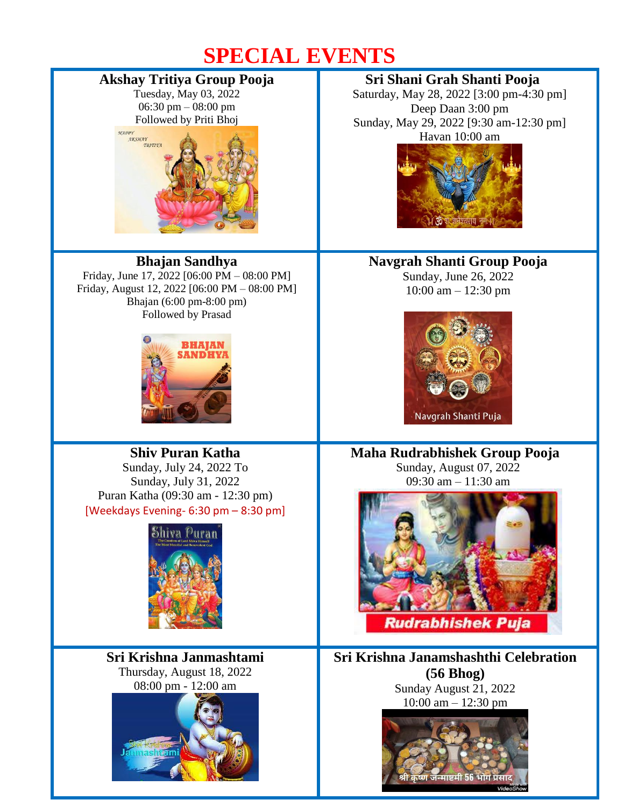# **SPECIAL EVENTS**

## **Akshay Tritiya Group Pooja**

Tuesday, May 03, 2022 06:30 pm – 08:00 pm



# **Bhajan Sandhya**

Friday, June 17, 2022 [06:00 PM – 08:00 PM] Friday, August 12, 2022 [06:00 PM – 08:00 PM] Bhajan (6:00 pm-8:00 pm) Followed by Prasad



## **Shiv Puran Katha** Sunday, July 24, 2022 To

Sunday, July 31, 2022 Puran Katha (09:30 am - 12:30 pm) [Weekdays Evening- 6:30 pm – 8:30 pm]



**Sri Krishna Janmashtami** Thursday, August 18, 2022 08:00 pm - 12:00 am



## **Sri Shani Grah Shanti Pooja**

Saturday, May 28, 2022 [3:00 pm-4:30 pm] Deep Daan 3:00 pm Sunday, May 29, 2022 [9:30 am-12:30 pm] Havan 10:00 am



### **Navgrah Shanti Group Pooja**

Sunday, June 26, 2022 10:00 am – 12:30 pm



#### **Maha Rudrabhishek Group Pooja** Sunday, August 07, 2022

09:30 am – 11:30 am



**Sri Krishna Janamshashthi Celebration (56 Bhog)** Sunday August 21, 2022 10:00 am – 12:30 pm